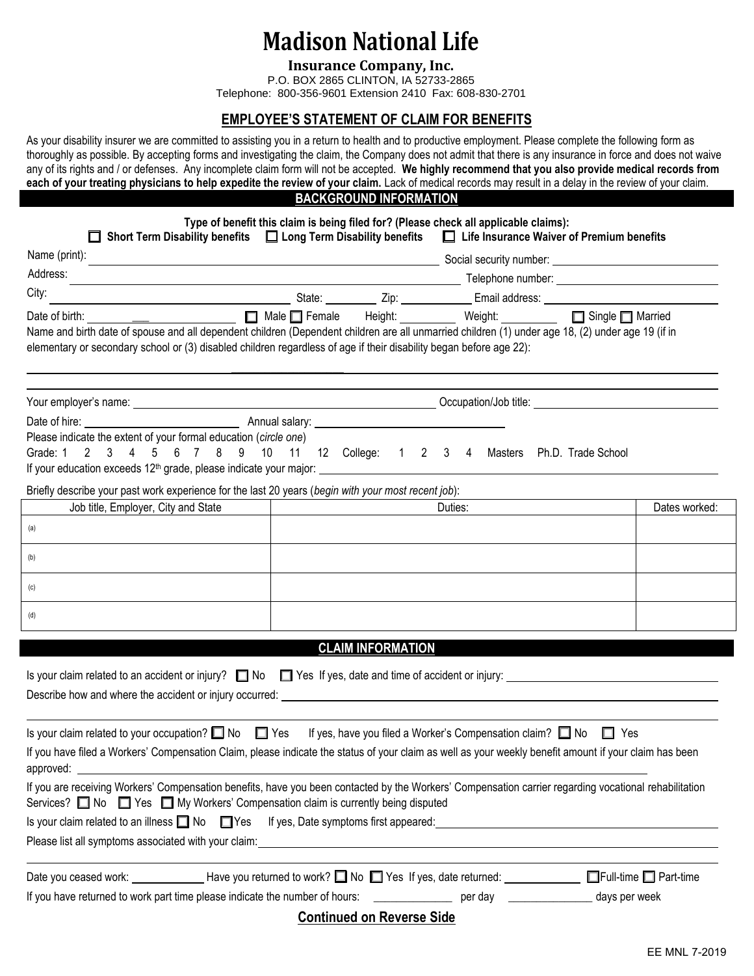## **Madison National Life**

**Insurance Company, Inc.**

P.O. BOX 2865 CLINTON, IA 52733-2865 Telephone: 800-356-9601 Extension 2410 Fax: 608-830-2701

#### **EMPLOYEE'S STATEMENT OF CLAIM FOR BENEFITS**

As your disability insurer we are committed to assisting you in a return to health and to productive employment. Please complete the following form as thoroughly as possible. By accepting forms and investigating the claim, the Company does not admit that there is any insurance in force and does not waive any of its rights and / or defenses. Any incomplete claim form will not be accepted. **We highly recommend that you also provide medical records from each of your treating physicians to help expedite the review of your claim.** Lack of medical records may result in a delay in the review of your claim.

### **BACKGROUND INFORMATION**

|                                                                                                                                                                                                                                                                                                                                                             | Type of benefit this claim is being filed for? (Please check all applicable claims):<br>Short Term Disability benefits $\Box$ Long Term Disability benefits $\Box$ Life Insurance Waiver of Premium benefits |         |               |
|-------------------------------------------------------------------------------------------------------------------------------------------------------------------------------------------------------------------------------------------------------------------------------------------------------------------------------------------------------------|--------------------------------------------------------------------------------------------------------------------------------------------------------------------------------------------------------------|---------|---------------|
| Name (print):                                                                                                                                                                                                                                                                                                                                               |                                                                                                                                                                                                              |         |               |
| Address:                                                                                                                                                                                                                                                                                                                                                    |                                                                                                                                                                                                              |         |               |
| City:                                                                                                                                                                                                                                                                                                                                                       | <u>and a</u> State: The Contract Email address: The Contract of the Contract of State: The Contract of Contract of Co                                                                                        |         |               |
| Name and birth date of spouse and all dependent children (Dependent children are all unmarried children (1) under age 18, (2) under age 19 (if in<br>elementary or secondary school or (3) disabled children regardless of age if their disability began before age 22):                                                                                    | □ Male Female Height: Weight: Weight: Single Married                                                                                                                                                         |         |               |
|                                                                                                                                                                                                                                                                                                                                                             |                                                                                                                                                                                                              |         |               |
| Please indicate the extent of your formal education (circle one)<br>Grade: 1 2 3 4 5 6 7 8 9 10 11 12 College: 1 2 3 4 Masters Ph.D. Trade School                                                                                                                                                                                                           |                                                                                                                                                                                                              |         |               |
| Briefly describe your past work experience for the last 20 years (begin with your most recent job):                                                                                                                                                                                                                                                         |                                                                                                                                                                                                              |         |               |
| Job title, Employer, City and State                                                                                                                                                                                                                                                                                                                         | <u> 1990 - Jan James James Barbara, politik eta politik eta politik eta politik eta politik eta politik eta poli</u>                                                                                         | Duties: | Dates worked: |
| (a)                                                                                                                                                                                                                                                                                                                                                         |                                                                                                                                                                                                              |         |               |
| (b)                                                                                                                                                                                                                                                                                                                                                         |                                                                                                                                                                                                              |         |               |
| (c)                                                                                                                                                                                                                                                                                                                                                         |                                                                                                                                                                                                              |         |               |
| (d)                                                                                                                                                                                                                                                                                                                                                         |                                                                                                                                                                                                              |         |               |
|                                                                                                                                                                                                                                                                                                                                                             | <b>CLAIM INFORMATION</b>                                                                                                                                                                                     |         |               |
| Is your claim related to an accident or injury? $\Box$ No $\Box$ Yes If yes, date and time of accident or injury: $\Box$<br>Describe how and where the accident or injury occurred: example and the state of the state of the state of the state of the state of the state of the state of the state of the state of the state of the state of the state o  |                                                                                                                                                                                                              |         |               |
| Is your claim related to your occupation? $\Box$ No $\Box$ Yes If yes, have you filed a Worker's Compensation claim? $\Box$ No $\Box$ Yes<br>If you have filed a Workers' Compensation Claim, please indicate the status of your claim as well as your weekly benefit amount if your claim has been<br>approved:                                            |                                                                                                                                                                                                              |         |               |
| If you are receiving Workers' Compensation benefits, have you been contacted by the Workers' Compensation carrier regarding vocational rehabilitation<br>Services? No Services? No Services To My Workers' Compensation claim is currently being disputed<br>Is your claim related to an illness $\Box$ No $\Box$ Yes If yes, Date symptoms first appeared: |                                                                                                                                                                                                              |         |               |
|                                                                                                                                                                                                                                                                                                                                                             |                                                                                                                                                                                                              |         |               |
| Date you ceased work: ______________Have you returned to work? No S Yes If yes, date returned: _____________ S Full-time S Part-time                                                                                                                                                                                                                        |                                                                                                                                                                                                              |         |               |
|                                                                                                                                                                                                                                                                                                                                                             |                                                                                                                                                                                                              |         |               |
|                                                                                                                                                                                                                                                                                                                                                             | <b>Continued on Reverse Side</b>                                                                                                                                                                             |         |               |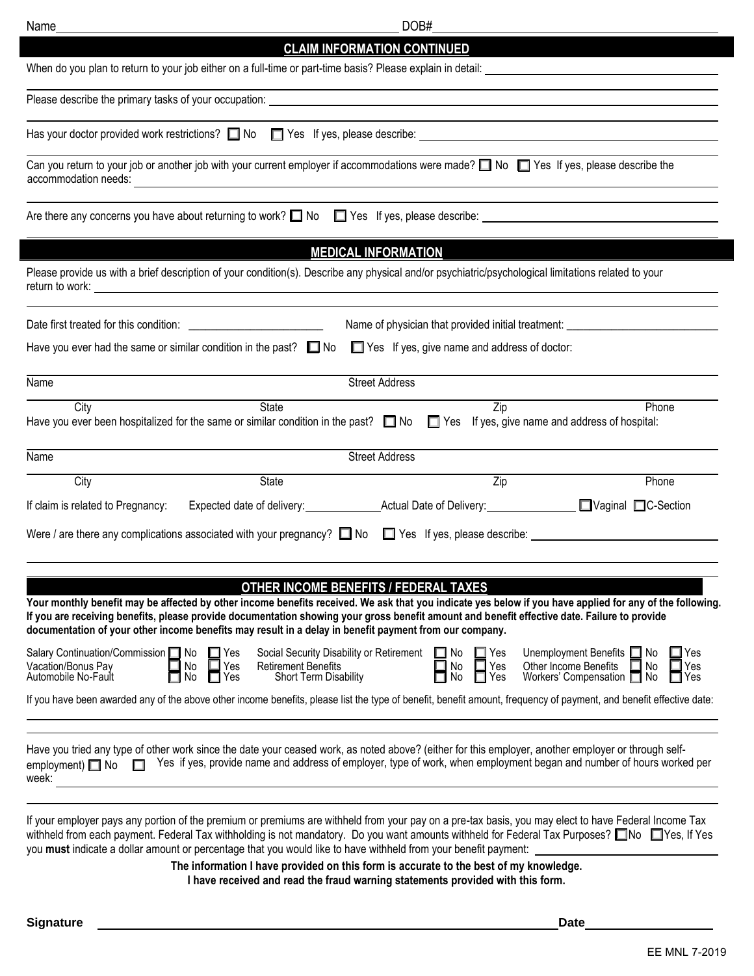| Name                                                                             |                                                                           | DOB#                                                                                                                                                                                                                                                                                                   |                                                     |                                                                                                                                                                     |
|----------------------------------------------------------------------------------|---------------------------------------------------------------------------|--------------------------------------------------------------------------------------------------------------------------------------------------------------------------------------------------------------------------------------------------------------------------------------------------------|-----------------------------------------------------|---------------------------------------------------------------------------------------------------------------------------------------------------------------------|
|                                                                                  |                                                                           | <b>CLAIM INFORMATION CONTINUED</b>                                                                                                                                                                                                                                                                     |                                                     |                                                                                                                                                                     |
|                                                                                  |                                                                           | When do you plan to return to your job either on a full-time or part-time basis? Please explain in detail: __                                                                                                                                                                                          |                                                     | <u>and the state of the state of the state of the state of the state of the state of the state of the state of th</u>                                               |
|                                                                                  |                                                                           |                                                                                                                                                                                                                                                                                                        |                                                     |                                                                                                                                                                     |
|                                                                                  |                                                                           | Has your doctor provided work restrictions? No No By Yes If yes, please describe: No Content Content Content Co                                                                                                                                                                                        |                                                     |                                                                                                                                                                     |
| accommodation needs:                                                             |                                                                           | Can you return to your job or another job with your current employer if accommodations were made? $\Box$ No $\Box$ Yes If yes, please describe the<br><u> 1989 - Johann Stein, mars an deus Amerikaansk kommunister (</u>                                                                              |                                                     |                                                                                                                                                                     |
|                                                                                  |                                                                           | Are there any concerns you have about returning to work? $\Box$ No $\Box$ Yes If yes, please describe:                                                                                                                                                                                                 |                                                     |                                                                                                                                                                     |
|                                                                                  |                                                                           | <b>MEDICAL INFORMATION</b>                                                                                                                                                                                                                                                                             |                                                     |                                                                                                                                                                     |
|                                                                                  |                                                                           | Please provide us with a brief description of your condition(s). Describe any physical and/or psychiatric/psychological limitations related to your                                                                                                                                                    |                                                     |                                                                                                                                                                     |
|                                                                                  |                                                                           | Name of physician that provided initial treatment:                                                                                                                                                                                                                                                     |                                                     |                                                                                                                                                                     |
|                                                                                  | Have you ever had the same or similar condition in the past? $\square$ No |                                                                                                                                                                                                                                                                                                        | $\Box$ Yes If yes, give name and address of doctor: |                                                                                                                                                                     |
| Name                                                                             |                                                                           | <b>Street Address</b>                                                                                                                                                                                                                                                                                  |                                                     |                                                                                                                                                                     |
| City                                                                             | <b>State</b>                                                              | Have you ever been hospitalized for the same or similar condition in the past? $\Box$ No $\Box$ Yes If yes, give name and address of hospital:                                                                                                                                                         | Zip                                                 | Phone                                                                                                                                                               |
| Name                                                                             |                                                                           | <b>Street Address</b>                                                                                                                                                                                                                                                                                  |                                                     |                                                                                                                                                                     |
| City                                                                             | State                                                                     |                                                                                                                                                                                                                                                                                                        | Zip                                                 | Phone                                                                                                                                                               |
| If claim is related to Pregnancy:                                                |                                                                           |                                                                                                                                                                                                                                                                                                        |                                                     |                                                                                                                                                                     |
|                                                                                  |                                                                           | Were / are there any complications associated with your pregnancy? $\Box$ No $\Box$ Yes If yes, please describe: $\_\_$                                                                                                                                                                                |                                                     |                                                                                                                                                                     |
|                                                                                  |                                                                           | <b>OTHER INCOME BENEFITS / FEDERAL TAXES</b><br>If you are receiving benefits, please provide documentation showing your gross benefit amount and benefit effective date. Failure to provide<br>documentation of your other income benefits may result in a delay in benefit payment from our company. |                                                     | Your monthly benefit may be affected by other income benefits received. We ask that you indicate yes below if you have applied for any of the following.            |
| Salary Continuation/Commission   No<br>Vacation/Bonus Pay<br>Automobile No-Fault | $\square$ Yes<br>No<br>Yes<br>No<br>Yes                                   | Social Security Disability or Retirement<br>$\Box$ No<br><b>Retirement Benefits</b><br>Short Term Disability                                                                                                                                                                                           | $\Box$ Yes<br>$\Box$ Yes<br>No<br>No<br>Yes         | Unemployment Benefits 1 No<br>Yes<br>Other Income Benefits<br>Yes<br>⊿ No<br>Workers' Compensation [7] No<br>$\Box$ Yes                                             |
|                                                                                  |                                                                           |                                                                                                                                                                                                                                                                                                        |                                                     | If you have been awarded any of the above other income benefits, please list the type of benefit, benefit amount, frequency of payment, and benefit effective date: |
| employment) $\Box$ No $\Box$<br>week:                                            |                                                                           | Have you tried any type of other work since the date your ceased work, as noted above? (either for this employer, another employer or through self-                                                                                                                                                    |                                                     | Yes if yes, provide name and address of employer, type of work, when employment began and number of hours worked per                                                |
|                                                                                  |                                                                           | If your employer pays any portion of the premium or premiums are withheld from your pay on a pre-tax basis, you may elect to have Federal Income Tax<br>you must indicate a dollar amount or percentage that you would like to have withheld from your benefit payment:                                |                                                     | withheld from each payment. Federal Tax withholding is not mandatory. Do you want amounts withheld for Federal Tax Purposes? □No □Yes, If Yes                       |
|                                                                                  |                                                                           | The information I have provided on this form is accurate to the best of my knowledge.<br>I have received and read the fraud warning statements provided with this form.                                                                                                                                |                                                     |                                                                                                                                                                     |

**Signature Date**

ı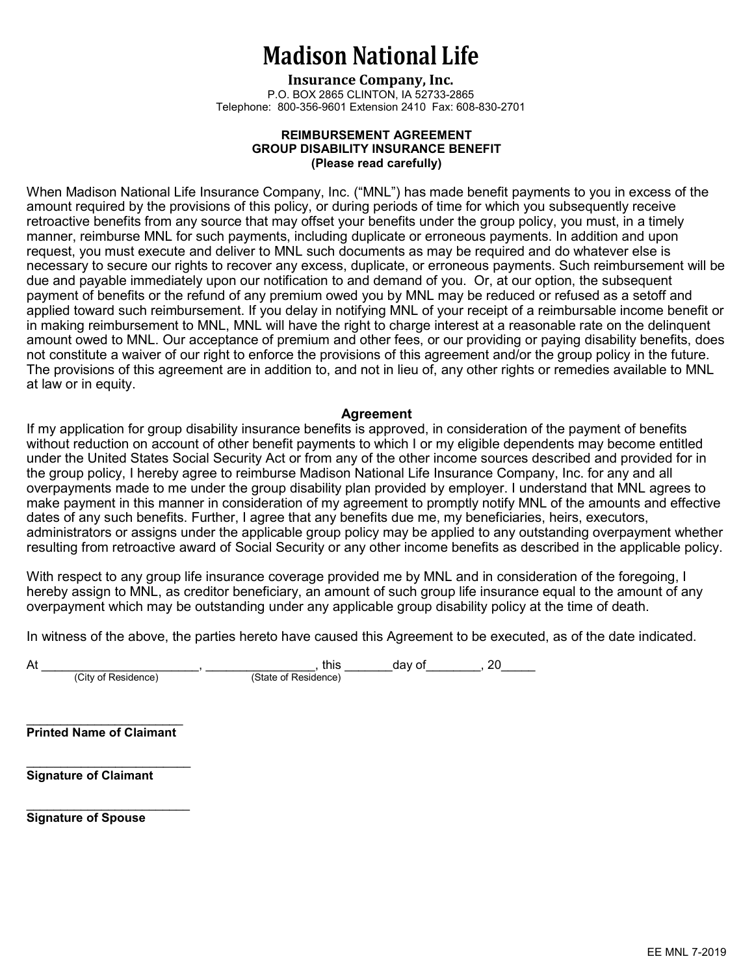## Madison National Life

Insurance Company, Inc. P.O. BOX 2865 CLINTON, IA 52733-2865 Telephone: 800-356-9601 Extension 2410 Fax: 608-830-2701

#### REIMBURSEMENT AGREEMENT GROUP DISABILITY INSURANCE BENEFIT (Please read carefully)

When Madison National Life Insurance Company, Inc. ("MNL") has made benefit payments to you in excess of the amount required by the provisions of this policy, or during periods of time for which you subsequently receive retroactive benefits from any source that may offset your benefits under the group policy, you must, in a timely manner, reimburse MNL for such payments, including duplicate or erroneous payments. In addition and upon request, you must execute and deliver to MNL such documents as may be required and do whatever else is necessary to secure our rights to recover any excess, duplicate, or erroneous payments. Such reimbursement will be due and payable immediately upon our notification to and demand of you. Or, at our option, the subsequent payment of benefits or the refund of any premium owed you by MNL may be reduced or refused as a setoff and applied toward such reimbursement. If you delay in notifying MNL of your receipt of a reimbursable income benefit or in making reimbursement to MNL, MNL will have the right to charge interest at a reasonable rate on the delinquent amount owed to MNL. Our acceptance of premium and other fees, or our providing or paying disability benefits, does not constitute a waiver of our right to enforce the provisions of this agreement and/or the group policy in the future. The provisions of this agreement are in addition to, and not in lieu of, any other rights or remedies available to MNL at law or in equity.

#### Agreement

If my application for group disability insurance benefits is approved, in consideration of the payment of benefits without reduction on account of other benefit payments to which I or my eligible dependents may become entitled under the United States Social Security Act or from any of the other income sources described and provided for in the group policy, I hereby agree to reimburse Madison National Life Insurance Company, Inc. for any and all overpayments made to me under the group disability plan provided by employer. I understand that MNL agrees to make payment in this manner in consideration of my agreement to promptly notify MNL of the amounts and effective dates of any such benefits. Further, I agree that any benefits due me, my beneficiaries, heirs, executors, administrators or assigns under the applicable group policy may be applied to any outstanding overpayment whether resulting from retroactive award of Social Security or any other income benefits as described in the applicable policy.

With respect to any group life insurance coverage provided me by MNL and in consideration of the foregoing, I hereby assign to MNL, as creditor beneficiary, an amount of such group life insurance equal to the amount of any overpayment which may be outstanding under any applicable group disability policy at the time of death.

In witness of the above, the parties hereto have caused this Agreement to be executed, as of the date indicated.

(City of Residence) (State of Residence)

At \_\_\_\_\_\_\_\_\_\_\_\_\_\_\_\_\_\_\_\_\_\_\_, \_\_\_\_\_\_\_\_\_\_\_\_\_\_\_\_, this \_\_\_\_\_\_\_day of\_\_\_\_\_\_\_\_, 20\_\_\_\_\_

 $\mathcal{L}=\{1,2,3,4,5\}$ Printed Name of Claimant

 $\mathcal{L}_\text{max}$  , where  $\mathcal{L}_\text{max}$  and  $\mathcal{L}_\text{max}$ 

\_\_\_\_\_\_\_\_\_\_\_\_\_\_\_\_\_\_\_\_\_\_\_\_

Signature of Claimant

Signature of Spouse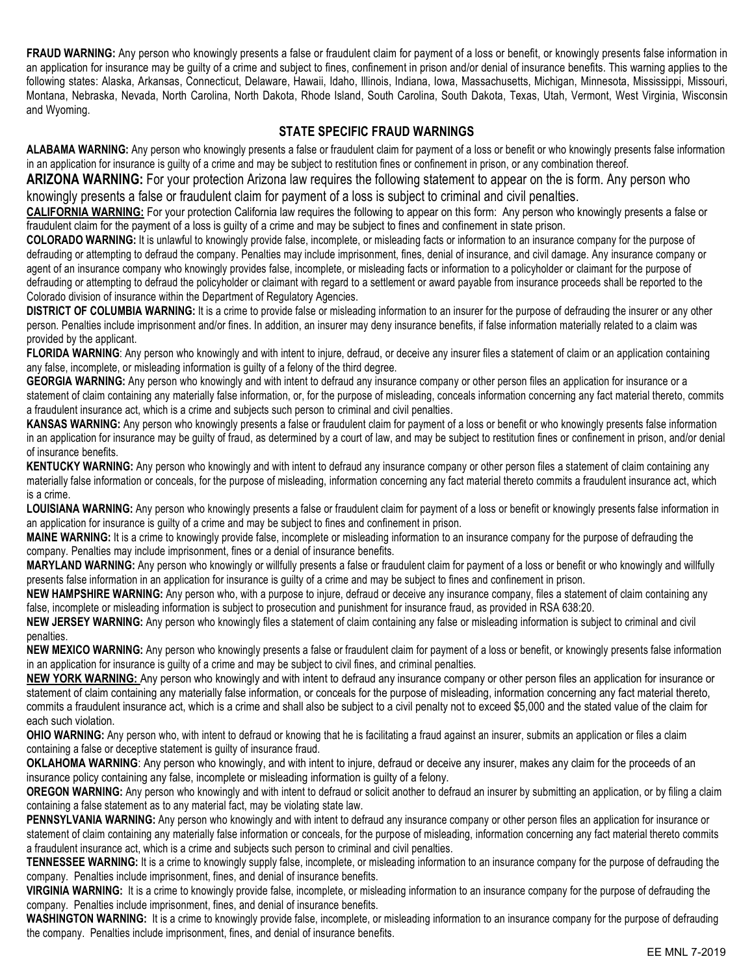FRAUD WARNING: Any person who knowingly presents a false or fraudulent claim for payment of a loss or benefit, or knowingly presents false information in an application for insurance may be guilty of a crime and subject to fines, confinement in prison and/or denial of insurance benefits. This warning applies to the following states: Alaska, Arkansas, Connecticut, Delaware, Hawaii, Idaho, Illinois, Indiana, Iowa, Massachusetts, Michigan, Minnesota, Mississippi, Missouri, Montana, Nebraska, Nevada, North Carolina, North Dakota, Rhode Island, South Carolina, South Dakota, Texas, Utah, Vermont, West Virginia, Wisconsin and Wyoming.

#### STATE SPECIFIC FRAUD WARNINGS

ALABAMA WARNING: Any person who knowingly presents a false or fraudulent claim for payment of a loss or benefit or who knowingly presents false information in an application for insurance is guilty of a crime and may be subject to restitution fines or confinement in prison, or any combination thereof.

ARIZONA WARNING: For your protection Arizona law requires the following statement to appear on the is form. Any person who knowingly presents a false or fraudulent claim for payment of a loss is subject to criminal and civil penalties.

CALIFORNIA WARNING: For your protection California law requires the following to appear on this form: Any person who knowingly presents a false or fraudulent claim for the payment of a loss is guilty of a crime and may be subject to fines and confinement in state prison.

COLORADO WARNING: It is unlawful to knowingly provide false, incomplete, or misleading facts or information to an insurance company for the purpose of defrauding or attempting to defraud the company. Penalties may include imprisonment, fines, denial of insurance, and civil damage. Any insurance company or agent of an insurance company who knowingly provides false, incomplete, or misleading facts or information to a policyholder or claimant for the purpose of defrauding or attempting to defraud the policyholder or claimant with regard to a settlement or award payable from insurance proceeds shall be reported to the Colorado division of insurance within the Department of Regulatory Agencies.

DISTRICT OF COLUMBIA WARNING: It is a crime to provide false or misleading information to an insurer for the purpose of defrauding the insurer or any other person. Penalties include imprisonment and/or fines. In addition, an insurer may deny insurance benefits, if false information materially related to a claim was provided by the applicant.

FLORIDA WARNING: Any person who knowingly and with intent to injure, defraud, or deceive any insurer files a statement of claim or an application containing any false, incomplete, or misleading information is guilty of a felony of the third degree.

GEORGIA WARNING: Any person who knowingly and with intent to defraud any insurance company or other person files an application for insurance or a statement of claim containing any materially false information, or, for the purpose of misleading, conceals information concerning any fact material thereto, commits a fraudulent insurance act, which is a crime and subjects such person to criminal and civil penalties.

KANSAS WARNING: Any person who knowingly presents a false or fraudulent claim for payment of a loss or benefit or who knowingly presents false information in an application for insurance may be guilty of fraud, as determined by a court of law, and may be subject to restitution fines or confinement in prison, and/or denial of insurance benefits.

KENTUCKY WARNING: Any person who knowingly and with intent to defraud any insurance company or other person files a statement of claim containing any materially false information or conceals, for the purpose of misleading, information concerning any fact material thereto commits a fraudulent insurance act, which is a crime.

LOUISIANA WARNING: Any person who knowingly presents a false or fraudulent claim for payment of a loss or benefit or knowingly presents false information in an application for insurance is guilty of a crime and may be subject to fines and confinement in prison.

MAINE WARNING: It is a crime to knowingly provide false, incomplete or misleading information to an insurance company for the purpose of defrauding the company. Penalties may include imprisonment, fines or a denial of insurance benefits.

MARYLAND WARNING: Any person who knowingly or willfully presents a false or fraudulent claim for payment of a loss or benefit or who knowingly and willfully presents false information in an application for insurance is guilty of a crime and may be subject to fines and confinement in prison.

NEW HAMPSHIRE WARNING: Any person who, with a purpose to injure, defraud or deceive any insurance company, files a statement of claim containing any false, incomplete or misleading information is subject to prosecution and punishment for insurance fraud, as provided in RSA 638:20.

NEW JERSEY WARNING: Any person who knowingly files a statement of claim containing any false or misleading information is subject to criminal and civil penalties.

NEW MEXICO WARNING: Any person who knowingly presents a false or fraudulent claim for payment of a loss or benefit, or knowingly presents false information in an application for insurance is guilty of a crime and may be subject to civil fines, and criminal penalties.

NEW YORK WARNING: Any person who knowingly and with intent to defraud any insurance company or other person files an application for insurance or statement of claim containing any materially false information, or conceals for the purpose of misleading, information concerning any fact material thereto, commits a fraudulent insurance act, which is a crime and shall also be subject to a civil penalty not to exceed \$5,000 and the stated value of the claim for each such violation.

OHIO WARNING: Any person who, with intent to defraud or knowing that he is facilitating a fraud against an insurer, submits an application or files a claim containing a false or deceptive statement is guilty of insurance fraud.

OKLAHOMA WARNING: Any person who knowingly, and with intent to injure, defraud or deceive any insurer, makes any claim for the proceeds of an insurance policy containing any false, incomplete or misleading information is guilty of a felony.

OREGON WARNING: Any person who knowingly and with intent to defraud or solicit another to defraud an insurer by submitting an application, or by filing a claim containing a false statement as to any material fact, may be violating state law.

PENNSYLVANIA WARNING: Any person who knowingly and with intent to defraud any insurance company or other person files an application for insurance or statement of claim containing any materially false information or conceals, for the purpose of misleading, information concerning any fact material thereto commits a fraudulent insurance act, which is a crime and subjects such person to criminal and civil penalties.

TENNESSEE WARNING: It is a crime to knowingly supply false, incomplete, or misleading information to an insurance company for the purpose of defrauding the company. Penalties include imprisonment, fines, and denial of insurance benefits.

VIRGINIA WARNING: It is a crime to knowingly provide false, incomplete, or misleading information to an insurance company for the purpose of defrauding the company. Penalties include imprisonment, fines, and denial of insurance benefits.

WASHINGTON WARNING: It is a crime to knowingly provide false, incomplete, or misleading information to an insurance company for the purpose of defrauding the company. Penalties include imprisonment, fines, and denial of insurance benefits.